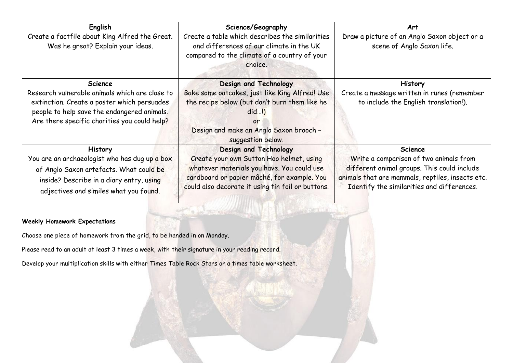| English<br>Create a factfile about King Alfred the Great.<br>Was he great? Explain your ideas.                                                                                                                 | Science/Geography<br>Create a table which describes the similarities<br>and differences of our climate in the UK<br>compared to the climate of a country of your<br>choice.                                         | <b>Art</b><br>Draw a picture of an Anglo Saxon object or a<br>scene of Anglo Saxon life.                                                                                                                  |
|----------------------------------------------------------------------------------------------------------------------------------------------------------------------------------------------------------------|---------------------------------------------------------------------------------------------------------------------------------------------------------------------------------------------------------------------|-----------------------------------------------------------------------------------------------------------------------------------------------------------------------------------------------------------|
| <b>Science</b><br>Research vulnerable animals which are close to<br>extinction. Create a poster which persuades<br>people to help save the endangered animals.<br>Are there specific charities you could help? | Design and Technology<br>Bake some oatcakes, just like King Alfred! Use<br>the recipe below (but don't burn them like he<br>$did$ !<br>or<br>Design and make an Anglo Saxon brooch -<br>suggestion below.           | <b>History</b><br>Create a message written in runes (remember<br>to include the English translation!).                                                                                                    |
| <b>History</b><br>You are an archaeologist who has dug up a box<br>of Anglo Saxon artefacts. What could be<br>inside? Describe in a diary entry, using<br>adjectives and similes what you found.               | Design and Technology<br>Create your own Sutton Hoo helmet, using<br>whatever materials you have. You could use<br>cardboard or papier mâché, for example. You<br>could also decorate it using tin foil or buttons. | <b>Science</b><br>Write a comparison of two animals from<br>different animal groups. This could include<br>animals that are mammals, reptiles, insects etc.<br>Identify the similarities and differences. |

# **Weekly Homework Expectations**

Choose one piece of homework from the grid, to be handed in on Monday.

Please read to an adult at least 3 times a week, with their signature in your reading record.

Develop your multiplication skills with either Times Table Rock Stars or a times table worksheet.